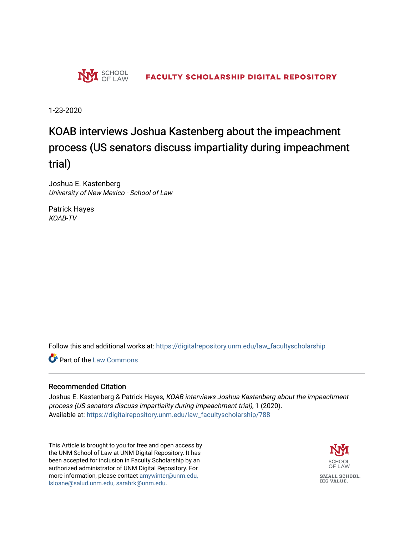

1-23-2020

## KOAB interviews Joshua Kastenberg about the impeachment process (US senators discuss impartiality during impeachment trial)

Joshua E. Kastenberg University of New Mexico - School of Law

Patrick Hayes KOAB-TV

Follow this and additional works at: [https://digitalrepository.unm.edu/law\\_facultyscholarship](https://digitalrepository.unm.edu/law_facultyscholarship?utm_source=digitalrepository.unm.edu%2Flaw_facultyscholarship%2F788&utm_medium=PDF&utm_campaign=PDFCoverPages) 

**Part of the [Law Commons](http://network.bepress.com/hgg/discipline/578?utm_source=digitalrepository.unm.edu%2Flaw_facultyscholarship%2F788&utm_medium=PDF&utm_campaign=PDFCoverPages)** 

## Recommended Citation

Joshua E. Kastenberg & Patrick Hayes, KOAB interviews Joshua Kastenberg about the impeachment process (US senators discuss impartiality during impeachment trial), 1 (2020). Available at: [https://digitalrepository.unm.edu/law\\_facultyscholarship/788](https://digitalrepository.unm.edu/law_facultyscholarship/788?utm_source=digitalrepository.unm.edu%2Flaw_facultyscholarship%2F788&utm_medium=PDF&utm_campaign=PDFCoverPages) 

This Article is brought to you for free and open access by the UNM School of Law at UNM Digital Repository. It has been accepted for inclusion in Faculty Scholarship by an authorized administrator of UNM Digital Repository. For more information, please contact [amywinter@unm.edu,](mailto:amywinter@unm.edu,%20lsloane@salud.unm.edu,%20sarahrk@unm.edu)  [lsloane@salud.unm.edu, sarahrk@unm.edu.](mailto:amywinter@unm.edu,%20lsloane@salud.unm.edu,%20sarahrk@unm.edu)

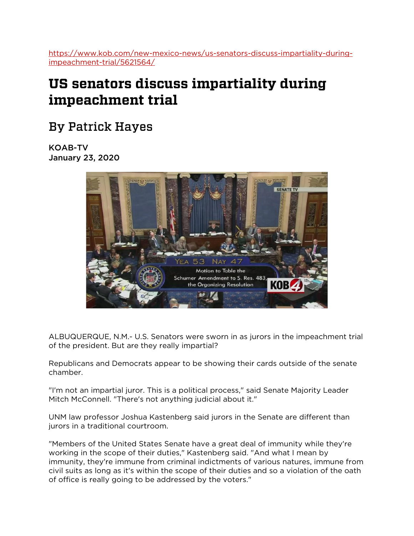[https://www.kob.com/new-mexico-news/us-senators-discuss-impartiality-during](https://www.kob.com/new-mexico-news/us-senators-discuss-impartiality-during-impeachment-trial/5621564/)[impeachment-trial/5621564/](https://www.kob.com/new-mexico-news/us-senators-discuss-impartiality-during-impeachment-trial/5621564/)

## **US senators discuss impartiality during impeachment trial**

## By Patrick Hayes

KOAB-TV January 23, 2020



ALBUQUERQUE, N.M.- U.S. Senators were sworn in as jurors in the impeachment trial of the president. But are they really impartial?

Republicans and Democrats appear to be showing their cards outside of the senate chamber.

"I'm not an impartial juror. This is a political process," said Senate Majority Leader Mitch McConnell. "There's not anything judicial about it."

UNM law professor Joshua Kastenberg said jurors in the Senate are different than jurors in a traditional courtroom.

"Members of the United States Senate have a great deal of immunity while they're working in the scope of their duties," Kastenberg said. "And what I mean by immunity, they're immune from criminal indictments of various natures, immune from civil suits as long as it's within the scope of their duties and so a violation of the oath of office is really going to be addressed by the voters."